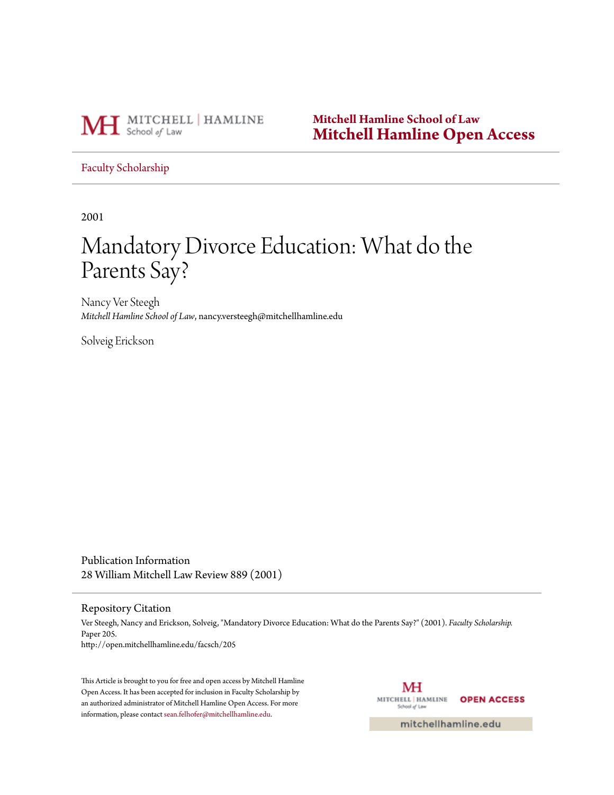

**Mitchell Hamline School of Law [Mitchell Hamline Open Access](http://open.mitchellhamline.edu)**

[Faculty Scholarship](http://open.mitchellhamline.edu/facsch)

2001

# Mandatory Divorce Education: What do the Parents Say?

Nancy Ver Steegh *Mitchell Hamline School of Law*, nancy.versteegh@mitchellhamline.edu

Solveig Erickson

Publication Information 28 William Mitchell Law Review 889 (2001)

#### Repository Citation

Ver Steegh, Nancy and Erickson, Solveig, "Mandatory Divorce Education: What do the Parents Say?" (2001). *Faculty Scholarship.* Paper 205. http://open.mitchellhamline.edu/facsch/205

This Article is brought to you for free and open access by Mitchell Hamline Open Access. It has been accepted for inclusion in Faculty Scholarship by an authorized administrator of Mitchell Hamline Open Access. For more information, please contact [sean.felhofer@mitchellhamline.edu.](mailto:sean.felhofer@mitchellhamline.edu)

MH MITCHELL | HAMLINE **OPEN ACCESS** School of Law

mitchellhamline.edu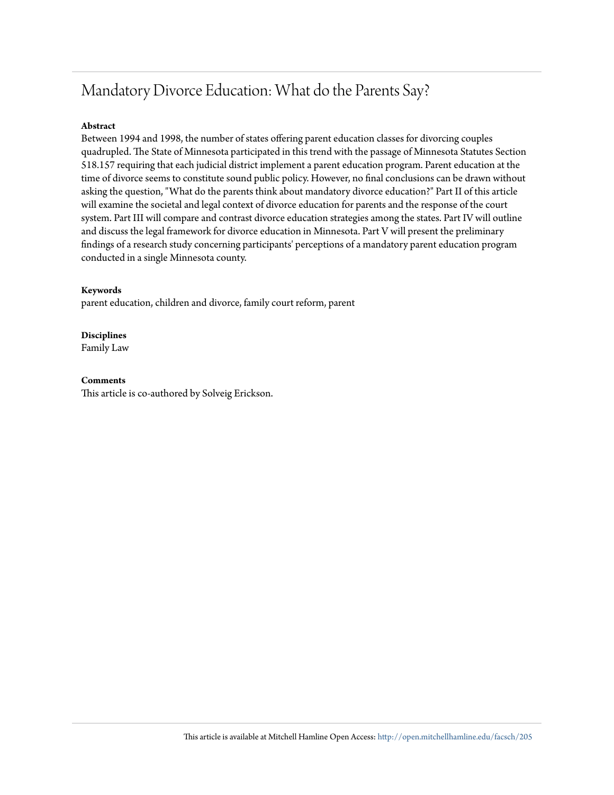## Mandatory Divorce Education: What do the Parents Say?

#### **Abstract**

Between 1994 and 1998, the number of states offering parent education classes for divorcing couples quadrupled. The State of Minnesota participated in this trend with the passage of Minnesota Statutes Section 518.157 requiring that each judicial district implement a parent education program. Parent education at the time of divorce seems to constitute sound public policy. However, no final conclusions can be drawn without asking the question, "What do the parents think about mandatory divorce education?" Part II of this article will examine the societal and legal context of divorce education for parents and the response of the court system. Part III will compare and contrast divorce education strategies among the states. Part IV will outline and discuss the legal framework for divorce education in Minnesota. Part V will present the preliminary findings of a research study concerning participants' perceptions of a mandatory parent education program conducted in a single Minnesota county.

#### **Keywords**

parent education, children and divorce, family court reform, parent

**Disciplines** Family Law

#### **Comments**

This article is co-authored by Solveig Erickson.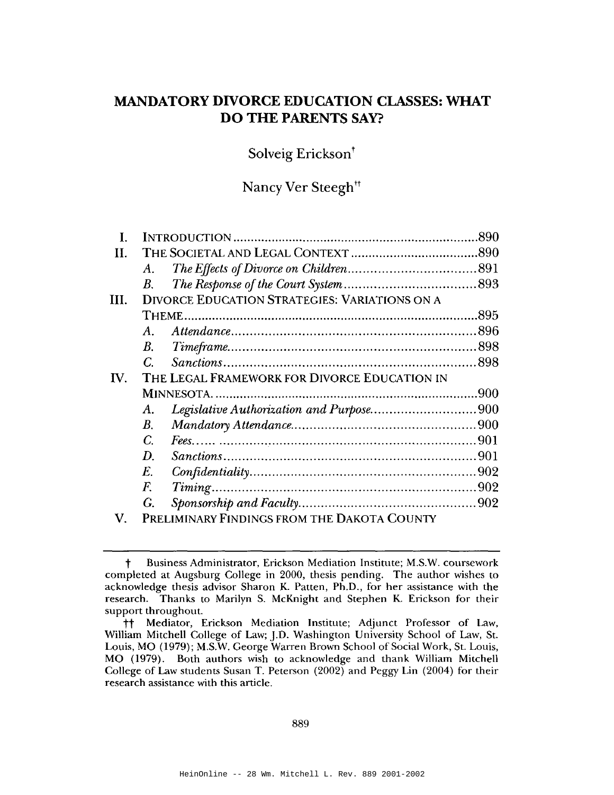## **MANDATORY DIVORCE EDUCATION CLASSES: WHAT DO THE PARENTS SAY?**

Solveig Erickson<sup>†</sup>

## Nancy Ver Steegh<sup>tt</sup>

| L.              |                                              |                                                      | 890 |  |  |
|-----------------|----------------------------------------------|------------------------------------------------------|-----|--|--|
| Н.              |                                              |                                                      |     |  |  |
|                 | $A_{-}$                                      |                                                      |     |  |  |
|                 | B.                                           |                                                      |     |  |  |
| III.            |                                              | <b>DIVORCE EDUCATION STRATEGIES: VARIATIONS ON A</b> |     |  |  |
|                 |                                              |                                                      |     |  |  |
|                 | A.                                           |                                                      |     |  |  |
|                 | $B_{\cdot}$                                  |                                                      |     |  |  |
|                 | $\overline{C}$                               |                                                      |     |  |  |
| $\mathbf{I}$ V. | THE LEGAL FRAMEWORK FOR DIVORCE EDUCATION IN |                                                      |     |  |  |
|                 |                                              |                                                      |     |  |  |
|                 | A.                                           | Legislative Authorization and Purpose900             |     |  |  |
|                 | В.                                           |                                                      |     |  |  |
|                 | C.                                           |                                                      |     |  |  |
|                 | D.                                           |                                                      |     |  |  |
|                 | E.                                           |                                                      |     |  |  |
|                 | $\overline{F}$ .                             |                                                      |     |  |  |
|                 | G.                                           |                                                      |     |  |  |
| XI.             |                                              | <b>DOEL IMINADY CINDINGS FROM THE DAVOTA COUNTY</b>  |     |  |  |

PRELIMINARY FINDINGS FROM THE DAKOTA COUNTY

Business Administrator, Erickson Mediation Institute; M.S.W. coursework  $\ddagger$ completed at Augsburg College in 2000, thesis pending. The author wishes to acknowledge thesis advisor Sharon K. Patten, Ph.D., for her assistance with the research. Thanks to Marilyn S. McKnight and Stephen K. Erickson for their support throughout.

Mediator, Erickson Mediation Institute; Adjunct Professor of Law, tt. William Mitchell College of Law; J.D. Washington University School of Law, St. Louis, MO (1979); M.S.W. George Warren Brown School of Social Work, St. Louis, MO (1979). Both authors wish to acknowledge and thank William Mitchell College of Law students Susan T. Peterson (2002) and Peggy Lin (2004) for their research assistance with this article.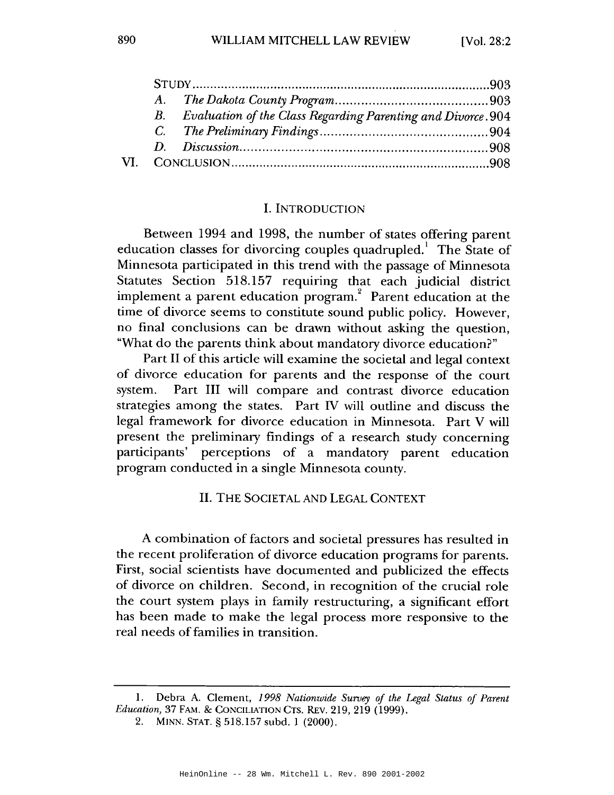| $B_{\cdot}$ | Evaluation of the Class Regarding Parenting and Divorce. 904 |  |
|-------------|--------------------------------------------------------------|--|
|             |                                                              |  |
|             |                                                              |  |
|             |                                                              |  |

#### **I. INTRODUCTION**

Between 1994 and 1998, the number of states offering parent education classes for divorcing couples quadrupled. The State of Minnesota participated in this trend with the passage of Minnesota Statutes Section 518.157 requiring that each judicial district implement a parent education program.<sup>2</sup> Parent education at the time of divorce seems to constitute sound public policy. However, no final conclusions can be drawn without asking the question, "What do the parents think about mandatory divorce education?"

Part II of this article will examine the societal and legal context of divorce education for parents and the response of the court system. Part III will compare and contrast divorce education strategies among the states. Part IV will outline and discuss the legal framework for divorce education in Minnesota. Part V will present the preliminary findings of a research study concerning participants' perceptions of a mandatory parent education program conducted in a single Minnesota county.

**II. THE SOCIETAL AND LEGAL CONTEXT** 

A combination of factors and societal pressures has resulted in the recent proliferation of divorce education programs for parents. First, social scientists have documented and publicized the effects of divorce on children. Second, in recognition of the crucial role the court system plays in family restructuring, a significant effort has been made to make the legal process more responsive to the real needs of families in transition.

Debra A. Clement, 1998 Nationwide Survey of the Legal Status of Parent 1. Education, 37 FAM. & CONCILIATION CTS. REV. 219, 219 (1999).

 $2.$ MINN. STAT. § 518.157 subd. 1 (2000).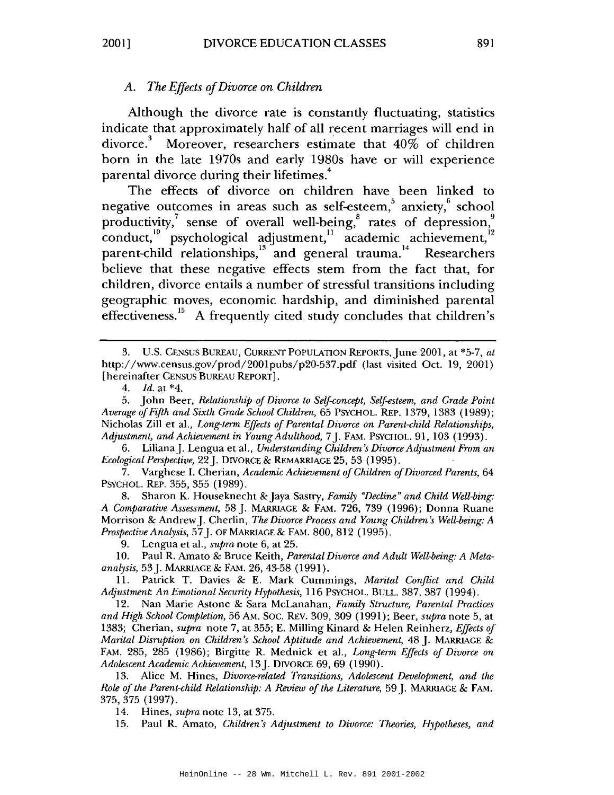## A. The Effects of Divorce on Children

Although the divorce rate is constantly fluctuating, statistics indicate that approximately half of all recent marriages will end in divorce.<sup>3</sup> Moreover, researchers estimate that 40% of children born in the late 1970s and early 1980s have or will experience parental divorce during their lifetimes.<sup>4</sup>

The effects of divorce on children have been linked to negative outcomes in areas such as self-esteem, anxiety, school productivity,<sup>7</sup> sense of overall well-being,<sup>8</sup> rates of depression,<sup>9</sup> conduct,<sup>10</sup> psychological adjustment,<sup>11</sup> academic achievement,<sup>12</sup> parent-child relationships,<sup>13</sup> and general trauma.<sup>14</sup> Researchers believe that these negative effects stem from the fact that, for children, divorce entails a number of stressful transitions including geographic moves, economic hardship, and diminished parental effectiveness.<sup>15</sup> A frequently cited study concludes that children's

6. Liliana J. Lengua et al., Understanding Children's Divorce Adjustment From an Ecological Perspective, 22 J. DIVORCE & REMARRIAGE 25, 53 (1995).

7. Varghese I. Cherian, Academic Achievement of Children of Divorced Parents, 64 PSYCHOL. REP. 355, 355 (1989).

8. Sharon K. Houseknecht & Jaya Sastry, Family "Decline" and Child Well-bing: A Comparative Assessment, 58 J. MARRIAGE & FAM. 726, 739 (1996): Donna Ruane Morrison & Andrew J. Cherlin, The Divorce Process and Young Children's Well-being: A Prospective Analysis, 57 J. OF MARRIAGE & FAM. 800, 812 (1995).

9. Lengua et al., *supra* note 6, at 25.

10. Paul R. Amato & Bruce Keith, Parental Divorce and Adult Well-being: A Metaanalysis, 53 J. MARRIAGE & FAM. 26, 43-58 (1991).

11. Patrick T. Davies & E. Mark Cummings, Marital Conflict and Child Adjustment. An Emotional Security Hypothesis, 116 PSYCHOL. BULL. 387, 387 (1994).

12. Nan Marie Astone & Sara McLanahan, Family Structure, Parental Practices and High School Completion, 56 AM. SOC. REV. 309, 309 (1991); Beer, supra note 5, at 1383; Cherian, supra note 7, at 355; E. Milling Kinard & Helen Reinherz, Effects of Marital Disruption on Children's School Aptitude and Achievement, 48 J. MARRIAGE & FAM. 285, 285 (1986); Birgitte R. Mednick et al., Long-term Effects of Divorce on Adolescent Academic Achievement, 13 J. DIVORCE 69, 69 (1990).

13. Alice M. Hines, Divorce-related Transitions, Adolescent Development, and the Role of the Parent-child Relationship: A Review of the Literature, 59 J. MARRIAGE & FAM. 375, 375 (1997).

14. Hines, *supra* note 13, at 375.

Paul R. Amato, Children's Adjustment to Divorce: Theories, Hypotheses, and 15.

<sup>3.</sup> U.S. CENSUS BUREAU, CURRENT POPULATION REPORTS, June 2001, at \*5-7, at http://www.census.gov/prod/2001pubs/p20-537.pdf (last visited Oct. 19, 2001) [hereinafter CENSUS BUREAU REPORT].

 $4.$ Id. at  $*4$ .

John Beer, Relationship of Divorce to Self-concept, Self-esteem, and Grade Point 5. Average of Fifth and Sixth Grade School Children, 65 PSYCHOL. REP. 1379, 1383 (1989); Nicholas Zill et al., Long-term Effects of Parental Divorce on Parent-child Relationships, Adjustment, and Achievement in Young Adulthood, 7 [. FAM. PSYCHOL. 91, 103 (1993).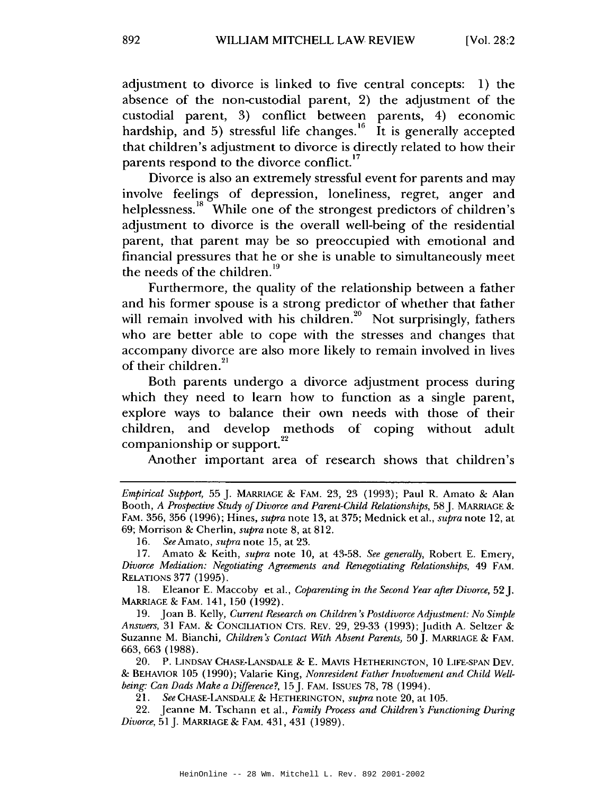adjustment to divorce is linked to five central concepts: 1) the absence of the non-custodial parent, 2) the adjustment of the custodial parent, 3) conflict between parents, 4) economic hardship, and 5) stressful life changes.  $\frac{16}{11}$  is generally accepted that children's adjustment to divorce is directly related to how their parents respond to the divorce conflict.<sup>17</sup>

Divorce is also an extremely stressful event for parents and may involve feelings of depression, loneliness, regret, anger and helplessness.<sup>18</sup> While one of the strongest predictors of children's adjustment to divorce is the overall well-being of the residential parent, that parent may be so preoccupied with emotional and financial pressures that he or she is unable to simultaneously meet the needs of the children.<sup>19</sup>

Furthermore, the quality of the relationship between a father and his former spouse is a strong predictor of whether that father will remain involved with his children.<sup>20</sup> Not surprisingly, fathers who are better able to cope with the stresses and changes that accompany divorce are also more likely to remain involved in lives of their children.<sup>21</sup>

Both parents undergo a divorce adjustment process during which they need to learn how to function as a single parent, explore ways to balance their own needs with those of their children, and develop methods of coping without adult companionship or support.<sup>22</sup>

Another important area of research shows that children's

16. See Amato, *supra* note 15, at 23.

18. Eleanor E. Maccoby et al., Coparenting in the Second Year after Divorce, 52. MARRIAGE & FAM. 141, 150 (1992).

19. Joan B. Kelly, Current Research on Children's Postdivorce Adjustment: No Simple Answers, 31 FAM. & CONCILIATION CTS. REV. 29, 29-33 (1993); Judith A. Seltzer & Suzanne M. Bianchi, Children's Contact With Absent Parents, 50 J. MARRIAGE & FAM. 663, 663 (1988).

20. P. LINDSAY CHASE-LANSDALE & E. MAVIS HETHERINGTON, 10 LIFE-SPAN DEV. & BEHAVIOR 105 (1990); Valarie King, *Nonresident Father Involvement and Child Well*being: Can Dads Make a Difference?, 15 J. FAM. ISSUES 78, 78 (1994).

21. See CHASE-LANSDALE & HETHERINGTON, supra note 20, at 105.

22. Jeanne M. Tschann et al., Family Process and Children's Functioning During *Divorce*, 51 J. MARRIAGE & FAM. 431, 431 (1989).

Empirical Support, 55 J. MARRIAGE & FAM. 23, 23 (1993); Paul R. Amato & Alan Booth, A Prospective Study of Divorce and Parent-Child Relationships, 58 J. MARRIAGE & FAM. 356, 356 (1996); Hines, *supra* note 13, at 375; Mednick et al., *supra* note 12, at 69; Morrison & Cherlin, *supra* note 8, at 812.

<sup>17.</sup> Amato & Keith, *supra* note 10, at 43-58. See generally, Robert E. Emery, Divorce Mediation: Negotiating Agreements and Renegotiating Relationships, 49 FAM. **RELATIONS 377 (1995).**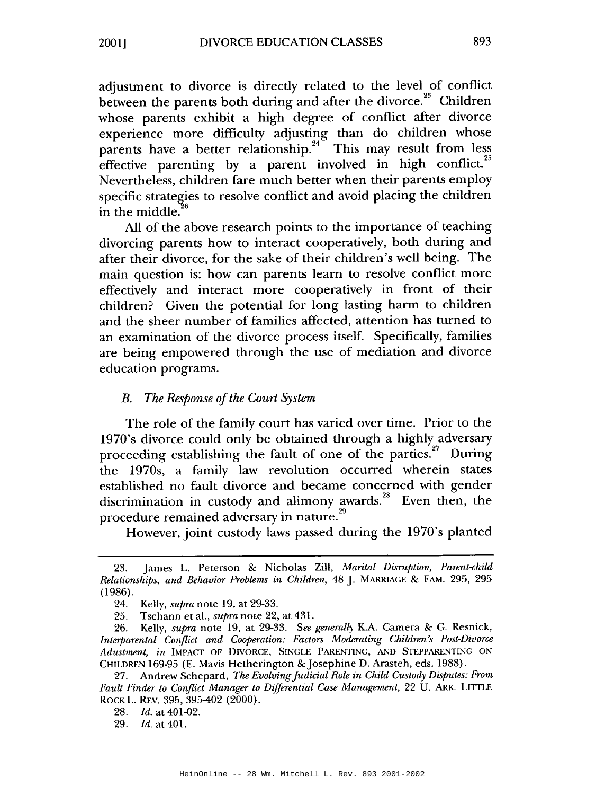adjustment to divorce is directly related to the level of conflict between the parents both during and after the divorce.<sup>23</sup> Children whose parents exhibit a high degree of conflict after divorce experience more difficulty adjusting than do children whose parents have a better relationship.<sup>24</sup> This may result from less effective parenting by a parent involved in high conflict.<sup>25</sup> Nevertheless, children fare much better when their parents employ specific strategies to resolve conflict and avoid placing the children in the middle.

All of the above research points to the importance of teaching divorcing parents how to interact cooperatively, both during and after their divorce, for the sake of their children's well being. The main question is: how can parents learn to resolve conflict more effectively and interact more cooperatively in front of their children? Given the potential for long lasting harm to children and the sheer number of families affected, attention has turned to an examination of the divorce process itself. Specifically, families are being empowered through the use of mediation and divorce education programs.

#### $B_{\cdot}$ The Response of the Court System

The role of the family court has varied over time. Prior to the 1970's divorce could only be obtained through a highly adversary proceeding establishing the fault of one of the parties.<sup>27</sup> During the 1970s, a family law revolution occurred wherein states established no fault divorce and became concerned with gender discrimination in custody and alimony awards.<sup>28</sup> Even then, the procedure remained adversary in nature.<sup>29</sup>

However, joint custody laws passed during the 1970's planted

<sup>23.</sup> James L. Peterson & Nicholas Zill, Marital Disruption, Parent-child Relationships, and Behavior Problems in Children, 48 J. MARRIAGE & FAM. 295, 295  $(1986).$ 

<sup>24.</sup> Kelly, *supra* note 19, at 29-33.

Tschann et al., *supra* note 22, at 431. 25.

<sup>26.</sup> Kelly, *supra* note 19, at 29-33. See generally K.A. Camera & G. Resnick, Interparental Conflict and Cooperation: Factors Moderating Children's Post-Divorce Adustment, in IMPACT OF DIVORCE, SINGLE PARENTING, AND STEPPARENTING ON CHILDREN 169-95 (E. Mavis Hetherington & Josephine D. Arasteh, eds. 1988).

<sup>27.</sup> Andrew Schepard, The Evolving Judicial Role in Child Custody Disputes: From Fault Finder to Conflict Manager to Differential Case Management, 22 U. ARK. LITTLE ROCK L. REV. 395, 395-402 (2000).

<sup>28.</sup> *Id.* at 401-02.

<sup>29.</sup> *Id.* at 401.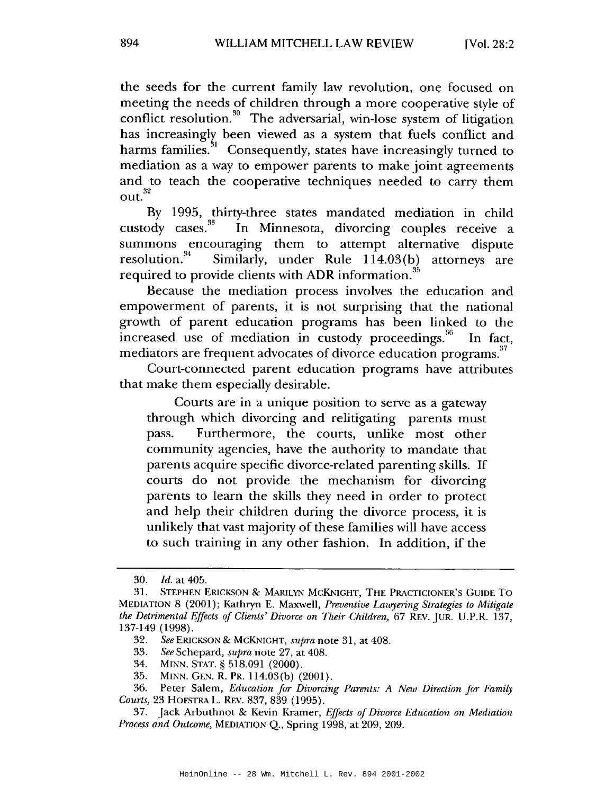the seeds for the current family law revolution, one focused on meeting the needs of children through a more cooperative style of conflict resolution.<sup>30</sup> The adversarial, win-lose system of litigation has increasingly been viewed as a system that fuels conflict and harms families.<sup>\$1</sup> Consequently, states have increasingly turned to mediation as a way to empower parents to make joint agreements and to teach the cooperative techniques needed to carry them  $\text{out.}^{32}$ 

By 1995, thirty-three states mandated mediation in child custody cases.  $33$ In Minnesota, divorcing couples receive a summons encouraging them to attempt alternative dispute Similarly, under Rule 114.03(b) attorneys are resolution.<sup>34</sup> required to provide clients with ADR information.<sup>35</sup>

Because the mediation process involves the education and empowerment of parents, it is not surprising that the national growth of parent education programs has been linked to the increased use of mediation in custody proceedings.<sup>36</sup> In fact. mediators are frequent advocates of divorce education programs.<sup>37</sup>

Court-connected parent education programs have attributes that make them especially desirable.

Courts are in a unique position to serve as a gateway through which divorcing and relitigating parents must Furthermore, the courts, unlike most other pass. community agencies, have the authority to mandate that parents acquire specific divorce-related parenting skills. If courts do not provide the mechanism for divorcing parents to learn the skills they need in order to protect and help their children during the divorce process, it is unlikely that vast majority of these families will have access to such training in any other fashion. In addition, if the

34. MINN. STAT. § 518.091 (2000).

<sup>30.</sup> Id. at 405.

<sup>31.</sup> STEPHEN ERICKSON & MARILYN MCKNIGHT, THE PRACTICIONER'S GUIDE TO MEDIATION 8 (2001); Kathryn E. Maxwell, Preventive Lawyering Strategies to Mitigate the Detrimental Effects of Clients' Divorce on Their Children, 67 REV. JUR. U.P.R. 137, 137-149 (1998).

<sup>32.</sup> See ERICKSON & MCKNIGHT, supra note 31, at 408.

<sup>33.</sup> See Schepard, *supra* note 27, at 408.

<sup>35.</sup> MINN. GEN. R. PR. 114.03(b) (2001).

<sup>36.</sup> Peter Salem, Education for Divorcing Parents: A New Direction for Family Courts, 23 HOFSTRA L. REV. 837, 839 (1995).

<sup>37.</sup> Jack Arbuthnot & Kevin Kramer, Effects of Divorce Education on Mediation *Process and Outcome, MEDIATION Q., Spring 1998, at 209, 209.*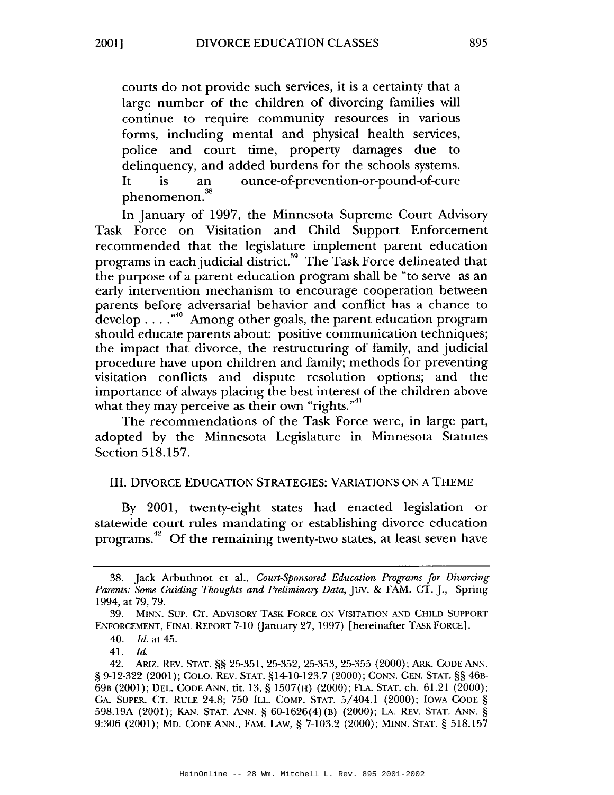courts do not provide such services, it is a certainty that a large number of the children of divorcing families will continue to require community resources in various forms, including mental and physical health services, police and court time, property damages due to delinquency, and added burdens for the schools systems. ounce-of-prevention-or-pound-of-cure **It** is an phenomenon.<sup>38</sup>

In January of 1997, the Minnesota Supreme Court Advisory Task Force on Visitation and Child Support Enforcement recommended that the legislature implement parent education programs in each judicial district.<sup>39</sup> The Task Force delineated that the purpose of a parent education program shall be "to serve as an early intervention mechanism to encourage cooperation between parents before adversarial behavior and conflict has a chance to develop . . . . "<sup>40</sup> Among other goals, the parent education program should educate parents about: positive communication techniques; the impact that divorce, the restructuring of family, and judicial procedure have upon children and family; methods for preventing visitation conflicts and dispute resolution options; and the importance of always placing the best interest of the children above what they may perceive as their own "rights."<sup>41</sup>

The recommendations of the Task Force were, in large part, adopted by the Minnesota Legislature in Minnesota Statutes Section 518.157.

### **III. DIVORCE EDUCATION STRATEGIES: VARIATIONS ON A THEME**

By 2001, twenty-eight states had enacted legislation or statewide court rules mandating or establishing divorce education programs.<sup>42</sup> Of the remaining twenty-two states, at least seven have

Jack Arbuthnot et al., Court-Sponsored Education Programs for Divorcing 38. Parents: Some Guiding Thoughts and Preliminary Data, JUV. & FAM. CT. J., Spring 1994, at 79, 79.

MINN. SUP. CT. ADVISORY TASK FORCE ON VISITATION AND CHILD SUPPORT 39. ENFORCEMENT, FINAL REPORT 7-10 (January 27, 1997) [hereinafter TASK FORCE].

<sup>40.</sup> *Id.* at 45.

 $Id$ 41.

ARIZ. REV. STAT. §§ 25-351, 25-352, 25-353, 25-355 (2000); ARK. CODE ANN. 42. § 9-12-322 (2001); COLO. REV. STAT. §14-10-123.7 (2000); CONN. GEN. STAT. §§ 46B-69B (2001); DEL. CODE ANN. tit. 13, § 1507(H) (2000); FLA. STAT. ch. 61.21 (2000); GA. SUPER. CT. RULE 24.8; 750 ILL. COMP. STAT. 5/404.1 (2000); IOWA CODE § 598.19A (2001); KAN. STAT. ANN. § 60-1626(4)(B) (2000); LA. REV. STAT. ANN. § 9:306 (2001); MD. CODE ANN., FAM. LAW, § 7-103.2 (2000); MINN. STAT. § 518.157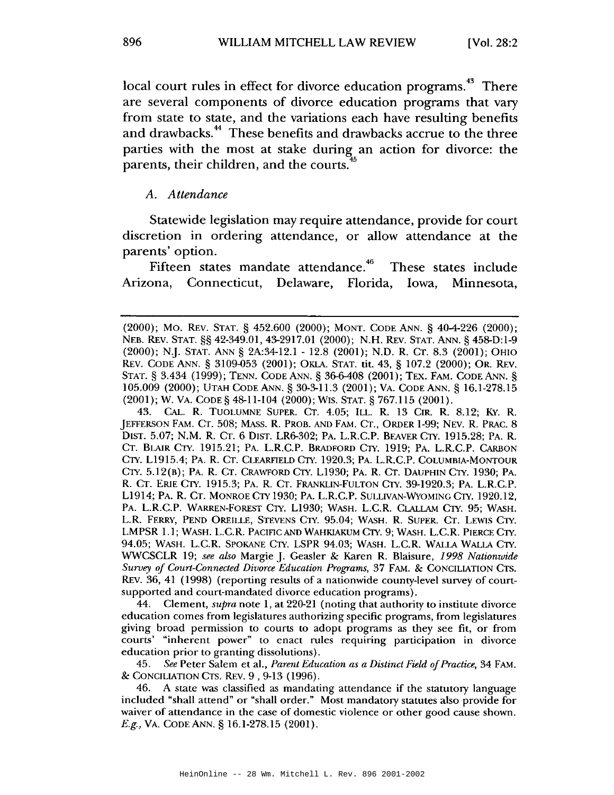local court rules in effect for divorce education programs.<sup>43</sup> There are several components of divorce education programs that vary from state to state, and the variations each have resulting benefits and drawbacks.<sup>44</sup> These benefits and drawbacks accrue to the three parties with the most at stake during an action for divorce: the parents, their children, and the courts.

#### A. Attendance

Statewide legislation may require attendance, provide for court discretion in ordering attendance, or allow attendance at the parents' option.

Fifteen states mandate attendance.<sup>46</sup> These states include Connecticut, Delaware, Florida, Arizona, Iowa. Minnesota.

43. CAL. R. TUOLUMNE SUPER. CT. 4.05; ILL. R. 13 CIR. R. 8.12; KY. R. [EFFERSON FAM. CT. 508; MASS. R. PROB. AND FAM. CT., ORDER 1-99; NEV. R. PRAC. 8 DIST. 5.07; N.M. R. CT. 6 DIST. LR6-302; PA. L.R.C.P. BEAVER CTY. 1915.28; PA. R. CT. BLAIR CTY. 1915.21; PA. L.R.C.P. BRADFORD CTY. 1919; PA. L.R.C.P. CARBON CTY. L1915.4; PA. R. CT. CLEARFIELD CTY. 1920.3; PA. L.R.C.P. COLUMBIA-MONTOUR CTY. 5.12(B); PA. R. CT. CRAWFORD CTY. L1930; PA. R. CT. DAUPHIN CTY. 1930; PA. R. CT. ERIE CTY. 1915.3; PA. R. CT. FRANKLIN-FULTON CTY. 39-1920.3; PA. L.R.C.P. L1914; PA. R. CT. MONROE CTY 1930; PA. L.R.C.P. SULLIVAN-WYOMING CTY. 1920.12, PA. L.R.C.P. WARREN-FOREST CTY. L1930; WASH. L.C.R. CLALLAM CTY. 95; WASH. L.R. FERRY, PEND OREILLE, STEVENS CTY. 95.04; WASH. R. SUPER. CT. LEWIS CTY. LMPSR 1.1; WASH. L.C.R. PACIFIC AND WAHKIAKUM CTY. 9; WASH. L.C.R. PIERCE CTY. 94.05; WASH. L.C.R. SPOKANE CTY. LSPR 94.03; WASH. L.C.R. WALLA WALLA CTY. WWCSCLR 19; see also Margie J. Geasler & Karen R. Blaisure, 1998 Nationwide Survey of Court-Connected Divorce Education Programs, 37 FAM. & CONCILIATION CTS. REV. 36, 41 (1998) (reporting results of a nationwide county-level survey of courtsupported and court-mandated divorce education programs).

44. Clement, *supra* note 1, at 220-21 (noting that authority to institute divorce education comes from legislatures authorizing specific programs, from legislatures giving broad permission to courts to adopt programs as they see fit, or from courts' "inherent power" to enact rules requiring participation in divorce education prior to granting dissolutions).

See Peter Salem et al., Parent Education as a Distinct Field of Practice, 34 FAM. 45. & CONCILIATION CTS. REV. 9, 9-13 (1996).

46. A state was classified as mandating attendance if the statutory language included "shall attend" or "shall order." Most mandatory statutes also provide for waiver of attendance in the case of domestic violence or other good cause shown. E.g., VA. CODE ANN. § 16.1-278.15 (2001).

<sup>(2000);</sup> MO. REV. STAT. § 452.600 (2000); MONT. CODE ANN. § 40-4-226 (2000); NEB. REV. STAT. §§ 42-349.01, 43-2917.01 (2000); N.H. REV. STAT. ANN. § 458-D:1-9 (2000); N.J. STAT. ANN § 2A:34-12.1 - 12.8 (2001); N.D. R. CT. 8.3 (2001); OHIO REV. CODE ANN. § 3109-053 (2001); OKLA. STAT. tit. 43, § 107.2 (2000); OR. REV. STAT. § 3.434 (1999); TENN. CODE ANN. § 36-6-408 (2001); TEX. FAM. CODE ANN. § 105.009 (2000); UTAH CODE ANN. § 30-3-11.3 (2001); VA. CODE ANN. § 16.1-278.15 (2001); W. VA. CODE § 48-11-104 (2000); WIS. STAT. § 767.115 (2001).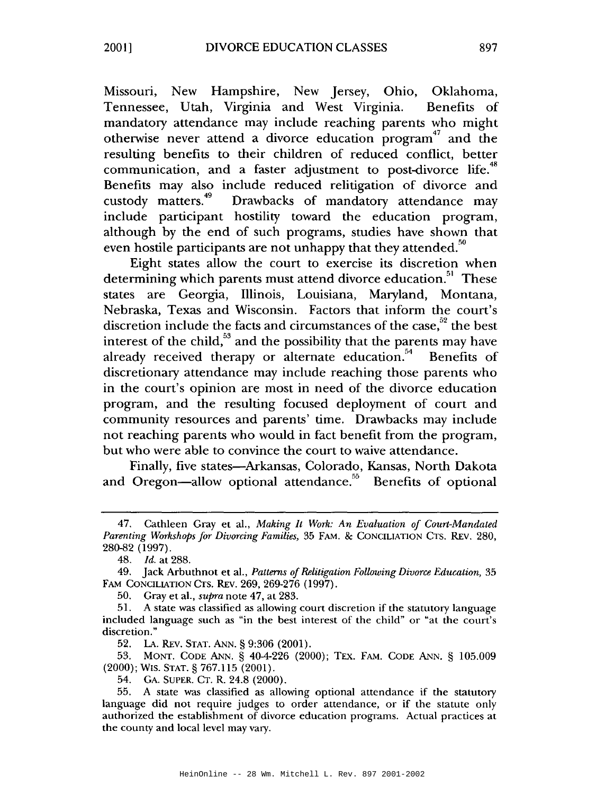Missouri, New Hampshire, New Jersey, Ohio, Oklahoma, Tennessee, Utah, Virginia and West Virginia. Benefits of mandatory attendance may include reaching parents who might otherwise never attend a divorce education program<sup>47</sup> and the resulting benefits to their children of reduced conflict, better communication, and a faster adjustment to post-divorce life.<sup>48</sup> Benefits may also include reduced relitigation of divorce and custody matters.<sup>49</sup> Drawbacks of mandatory attendance may include participant hostility toward the education program, although by the end of such programs, studies have shown that even hostile participants are not unhappy that they attended.<sup>50</sup>

Eight states allow the court to exercise its discretion when determining which parents must attend divorce education.<sup>51</sup> These states are Georgia, Illinois, Louisiana, Maryland, Montana, Nebraska, Texas and Wisconsin. Factors that inform the court's discretion include the facts and circumstances of the case,<sup>52</sup> the best interest of the child, $53$  and the possibility that the parents may have already received therapy or alternate education.<sup>54</sup> Benefits of discretionary attendance may include reaching those parents who in the court's opinion are most in need of the divorce education program, and the resulting focused deployment of court and community resources and parents' time. Drawbacks may include not reaching parents who would in fact benefit from the program, but who were able to convince the court to waive attendance.

Finally, five states-Arkansas, Colorado, Kansas, North Dakota and Oregon—allow optional attendance.<sup>55</sup> Benefits of optional

<sup>47.</sup> Cathleen Gray et al., Making It Work: An Evaluation of Court-Mandated Parenting Workshops for Divorcing Families, 35 FAM. & CONCILIATION CTS. REV. 280, 280-82 (1997).

<sup>48.</sup> Id. at 288.

<sup>49.</sup> Jack Arbuthnot et al., Patterns of Relitigation Following Divorce Education, 35 FAM CONCILIATION CTS. REV. 269, 269-276 (1997).

<sup>50.</sup> Gray et al., *supra* note 47, at 283.

<sup>51.</sup> A state was classified as allowing court discretion if the statutory language included language such as "in the best interest of the child" or "at the court's discretion."

 $52.$ LA. REV. STAT. ANN. § 9:306 (2001).

<sup>53.</sup> MONT. CODE ANN. § 40-4-226 (2000); TEX. FAM. CODE ANN. § 105.009 (2000); WIS. STAT. § 767.115 (2001).

<sup>54.</sup> GA. SUPER. CT. R. 24.8 (2000).

<sup>55.</sup> A state was classified as allowing optional attendance if the statutory language did not require judges to order attendance, or if the statute only authorized the establishment of divorce education programs. Actual practices at the county and local level may vary.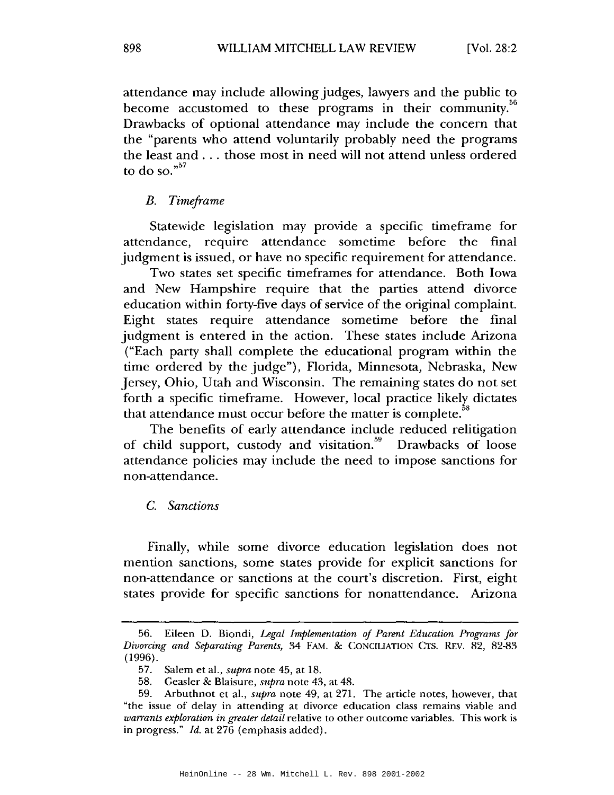attendance may include allowing judges, lawyers and the public to become accustomed to these programs in their community.<sup>56</sup> Drawbacks of optional attendance may include the concern that the "parents who attend voluntarily probably need the programs the least and . . . those most in need will not attend unless ordered to do so." $57$ 

#### **B.** Timeframe

Statewide legislation may provide a specific timeframe for attendance, require attendance sometime before the final judgment is issued, or have no specific requirement for attendance.

Two states set specific timeframes for attendance. Both Iowa and New Hampshire require that the parties attend divorce education within forty-five days of service of the original complaint. Eight states require attendance sometime before the final judgment is entered in the action. These states include Arizona ("Each party shall complete the educational program within the time ordered by the judge"), Florida, Minnesota, Nebraska, New Jersey, Ohio, Utah and Wisconsin. The remaining states do not set forth a specific timeframe. However, local practice likely dictates that attendance must occur before the matter is complete.<sup>3</sup>

The benefits of early attendance include reduced relitigation of child support, custody and visitation.<sup>59</sup> Drawbacks of loose attendance policies may include the need to impose sanctions for non-attendance.

#### C. Sanctions

Finally, while some divorce education legislation does not mention sanctions, some states provide for explicit sanctions for non-attendance or sanctions at the court's discretion. First, eight states provide for specific sanctions for nonattendance. Arizona

<sup>56.</sup> Eileen D. Biondi, Legal Implementation of Parent Education Programs for Divorcing and Separating Parents, 34 FAM. & CONCILIATION CTS. REV. 82, 82-83  $(1996).$ 

<sup>57.</sup> Salem et al., *supra* note 45, at 18.

<sup>58.</sup> Geasler & Blaisure, *supra* note 43, at 48.

Arbuthnot et al., *supra* note 49, at 271. The article notes, however, that 59. "the issue of delay in attending at divorce education class remains viable and warrants exploration in greater detail relative to other outcome variables. This work is in progress." Id. at 276 (emphasis added).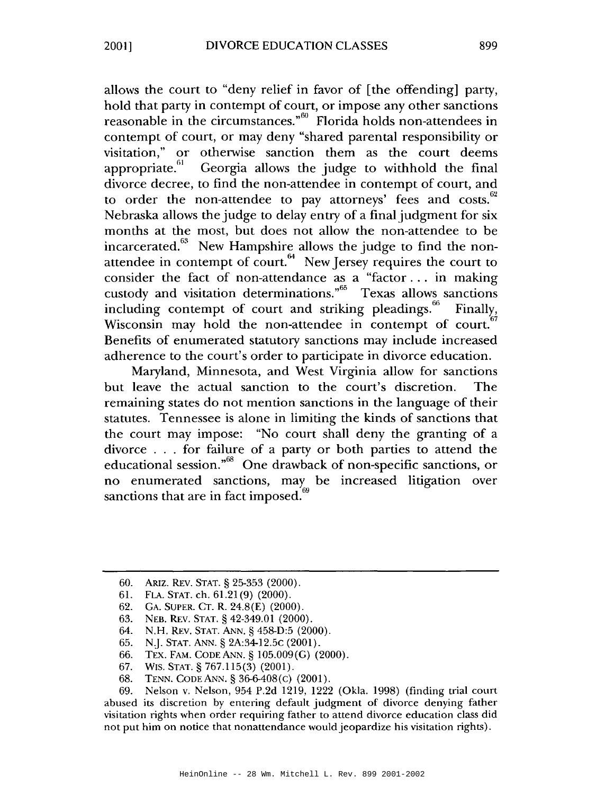allows the court to "deny relief in favor of [the offending] party, hold that party in contempt of court, or impose any other sanctions reasonable in the circumstances."<sup>60</sup> Florida holds non-attendees in contempt of court, or may deny "shared parental responsibility or visitation," or otherwise sanction them as the court deems appropriate.<sup>61</sup> Georgia allows the judge to withhold the final divorce decree, to find the non-attendee in contempt of court, and to order the non-attendee to pay attorneys' fees and costs.<sup>62</sup> Nebraska allows the judge to delay entry of a final judgment for six months at the most, but does not allow the non-attendee to be incarcerated.<sup>63</sup> New Hampshire allows the judge to find the nonattendee in contempt of court.<sup>64</sup> New Jersey requires the court to consider the fact of non-attendance as a "factor ... in making custody and visitation determinations."<sup>65</sup> Texas allows sanctions including contempt of court and striking pleadings.<sup>66</sup> Finally. Wisconsin may hold the non-attendee in contempt of court.<sup>6</sup> Benefits of enumerated statutory sanctions may include increased adherence to the court's order to participate in divorce education.

Maryland, Minnesota, and West Virginia allow for sanctions but leave the actual sanction to the court's discretion. The remaining states do not mention sanctions in the language of their statutes. Tennessee is alone in limiting the kinds of sanctions that the court may impose: "No court shall deny the granting of a divorce . . . for failure of a party or both parties to attend the educational session."<sup>68</sup> One drawback of non-specific sanctions, or no enumerated sanctions, may be increased litigation over sanctions that are in fact imposed.<sup>69</sup>

- 61. FLA. STAT. ch. 61.21(9) (2000).
- 62. GA. SUPER. CT. R. 24.8(E) (2000).
- 63. NEB. REV. STAT. § 42-349.01 (2000).
- 64. N.H. REV. STAT. ANN. § 458-D:5 (2000).
- 65. N.J. STAT. ANN. § 2A:34-12.5C (2001).
- 66. TEX. FAM. CODE ANN. § 105.009(G) (2000).
- 67. WIS. STAT. § 767.115(3) (2001).
- 68. TENN. CODE ANN.  $\S 36-6-408$ (C) (2001).

Nelson v. Nelson, 954 P.2d 1219, 1222 (Okla. 1998) (finding trial court 69. abused its discretion by entering default judgment of divorce denying father visitation rights when order requiring father to attend divorce education class did not put him on notice that nonattendance would jeopardize his visitation rights).

<sup>60.</sup> ARIZ. REV. STAT. § 25-353 (2000).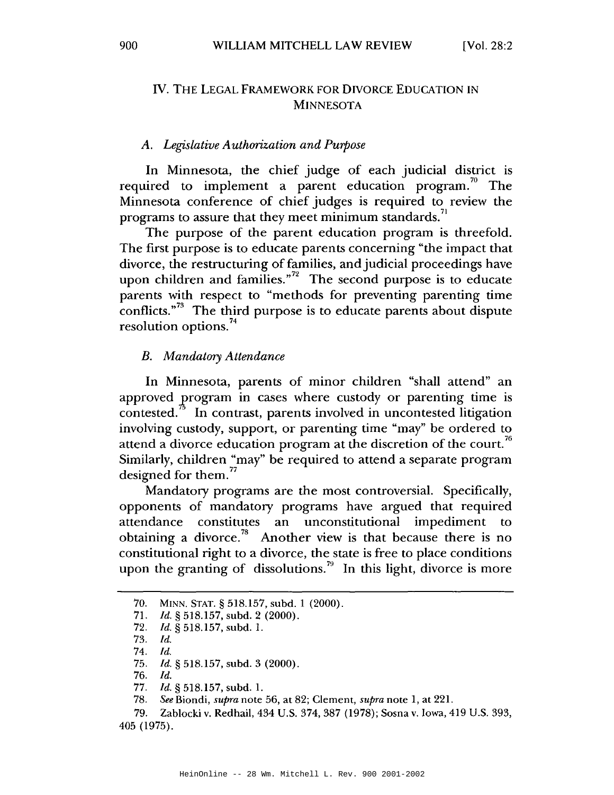### IV. THE LEGAL FRAMEWORK FOR DIVORCE EDUCATION IN **MINNESOTA**

#### A. Legislative Authorization and Purpose

In Minnesota, the chief judge of each judicial district is required to implement a parent education program.<sup>70</sup> The Minnesota conference of chief judges is required to review the programs to assure that they meet minimum standards.<sup>71</sup>

The purpose of the parent education program is threefold. The first purpose is to educate parents concerning "the impact that divorce, the restructuring of families, and judicial proceedings have upon children and families." $2^2$  The second purpose is to educate parents with respect to "methods for preventing parenting time conflicts."<sup>73</sup> The third purpose is to educate parents about dispute resolution options.<sup>74</sup>

#### **B.** Mandatory Attendance

In Minnesota, parents of minor children "shall attend" an approved program in cases where custody or parenting time is contested.<sup>"</sup> In contrast, parents involved in uncontested litigation involving custody, support, or parenting time "may" be ordered to attend a divorce education program at the discretion of the court.<sup>76</sup> Similarly, children "may" be required to attend a separate program designed for them.<sup>77</sup>

Mandatory programs are the most controversial. Specifically, opponents of mandatory programs have argued that required attendance constitutes an unconstitutional impediment to obtaining a divorce.<sup>78</sup> Another view is that because there is no constitutional right to a divorce, the state is free to place conditions upon the granting of dissolutions.<sup>79</sup> In this light, divorce is more

<sup>70.</sup> MINN. STAT. § 518.157, subd. 1 (2000).

<sup>71.</sup> *Id.* § 518.157, subd. 2 (2000).

<sup>72.</sup> Id. § 518.157, subd. 1.

<sup>73.</sup> Id.

 $74.$  Id.

<sup>75.</sup> *Id.* § 518.157, subd. 3  $(2000)$ .

 $76.$  *Id.* 

 $77.$ *Id.* § 518.157, subd. 1.

See Biondi, supra note 56, at 82; Clement, supra note 1, at 221. 78.

<sup>79.</sup> Zablocki v. Redhail, 434 U.S. 374, 387 (1978); Sosna v. Iowa, 419 U.S. 393, 405 (1975).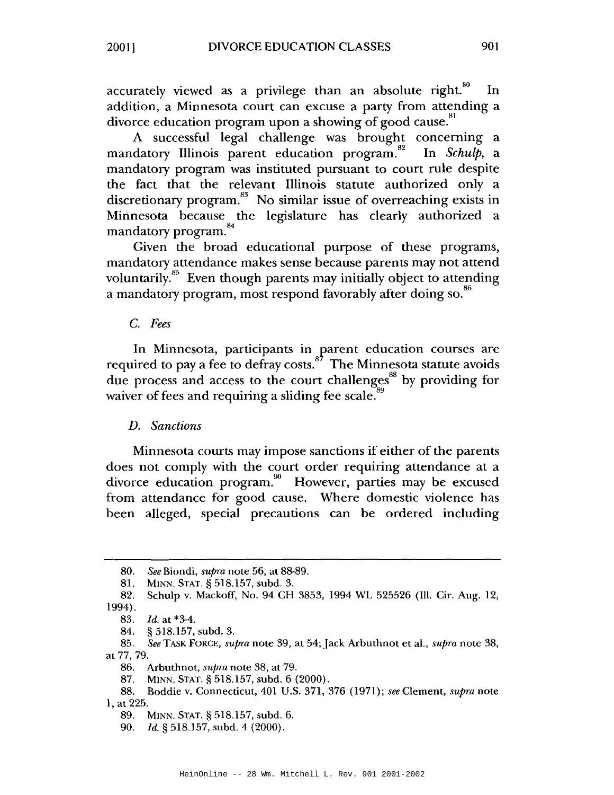accurately viewed as a privilege than an absolute right.<sup>80</sup> In addition, a Minnesota court can excuse a party from attending a divorce education program upon a showing of good cause.<sup>81</sup>

A successful legal challenge was brought concerning a mandatory Illinois parent education program.<sup>82</sup> In *Schulb*, a mandatory program was instituted pursuant to court rule despite the fact that the relevant Illinois statute authorized only a discretionary program. $83$  No similar issue of overreaching exists in Minnesota because the legislature has clearly authorized a mandatory program.<sup>84</sup>

Given the broad educational purpose of these programs, mandatory attendance makes sense because parents may not attend voluntarily.<sup>85</sup> Even though parents may initially object to attending a mandatory program, most respond favorably after doing so.<sup>86</sup>

#### C. Fees

In Minnesota, participants in parent education courses are required to pay a fee to defray costs.<sup>87</sup> The Minnesota statute avoids due process and access to the court challenges<sup>88</sup> by providing for waiver of fees and requiring a sliding fee scale.

#### D. Sanctions

Minnesota courts may impose sanctions if either of the parents does not comply with the court order requiring attendance at a divorce education program.<sup>90</sup> However, parties may be excused from attendance for good cause. Where domestic violence has been alleged, special precautions can be ordered including

<sup>80.</sup> See Biondi, *supra* note 56, at 88-89.

<sup>81.</sup> MINN. STAT. § 518.157, subd. 3.

Schulp v. Mackoff, No. 94 CH 3853, 1994 WL 525526 (Ill. Cir. Aug. 12, 82. 1994).

<sup>83.</sup> *Id.* at \*3-4.

<sup>§ 518.157,</sup> subd. 3. 84.

<sup>85.</sup> See TASK FORCE, supra note 39, at 54; Jack Arbuthnot et al., supra note 38, at 77, 79.

<sup>86.</sup> Arbuthnot, *supra* note 38, at 79.

<sup>87.</sup> MINN. STAT. § 518.157, subd. 6 (2000).

Boddie v. Connecticut, 401 U.S. 371, 376 (1971); see Clement, supra note 88. 1, at 225.

<sup>89.</sup> MINN. STAT. § 518.157, subd. 6.

<sup>90.</sup> Id. § 518.157, subd. 4 (2000).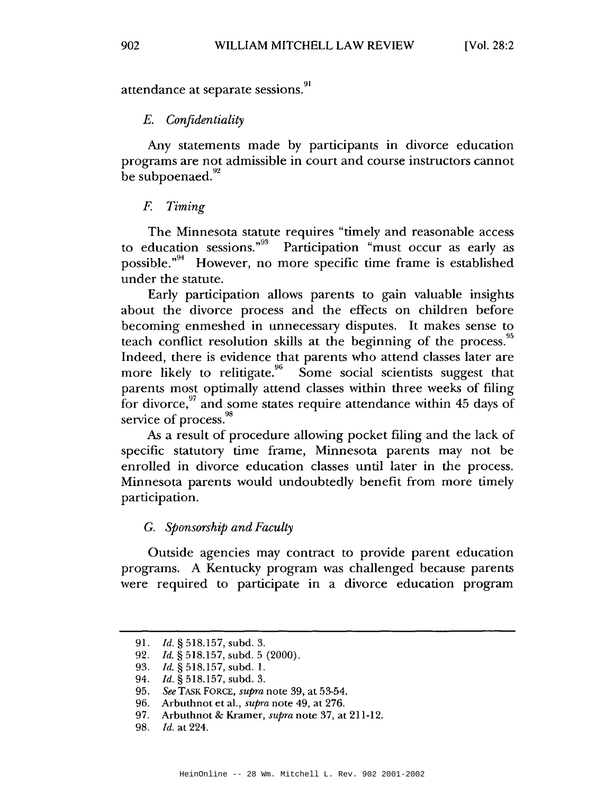attendance at separate sessions.<sup>91</sup>

#### E. Confidentiality

Any statements made by participants in divorce education programs are not admissible in court and course instructors cannot be subpoenaed.<sup>92</sup>

#### F. Timing

The Minnesota statute requires "timely and reasonable access" to education sessions."<sup>93</sup> Participation "must occur as early as possible."<sup>94</sup> However, no more specific time frame is established under the statute.

Early participation allows parents to gain valuable insights about the divorce process and the effects on children before becoming enmeshed in unnecessary disputes. It makes sense to teach conflict resolution skills at the beginning of the process.<sup>95</sup> Indeed, there is evidence that parents who attend classes later are more likely to relitigate. <sup>96</sup> Some social scientists suggest that parents most optimally attend classes within three weeks of filing for divorce,  $97$  and some states require attendance within 45 days of service of process.<sup>98</sup>

As a result of procedure allowing pocket filing and the lack of specific statutory time frame, Minnesota parents may not be enrolled in divorce education classes until later in the process. Minnesota parents would undoubtedly benefit from more timely participation.

### G. Sponsorship and Faculty

Outside agencies may contract to provide parent education programs. A Kentucky program was challenged because parents were required to participate in a divorce education program

<sup>91.</sup> *Id.* § 518.157, subd. 3.

<sup>92.</sup> Id.  $\S$  518.157, subd. 5 (2000).

<sup>93.</sup> Id. § 518.157, subd. 1.

<sup>94.</sup> Id. § 518.157, subd. 3.

<sup>95.</sup> See TASK FORCE, supra note 39, at 53-54.

<sup>96.</sup> Arbuthnot et al., *supra* note 49, at 276.

<sup>97.</sup> Arbuthnot & Kramer, supra note 37, at 211-12.

<sup>98.</sup> *Id.* at 224.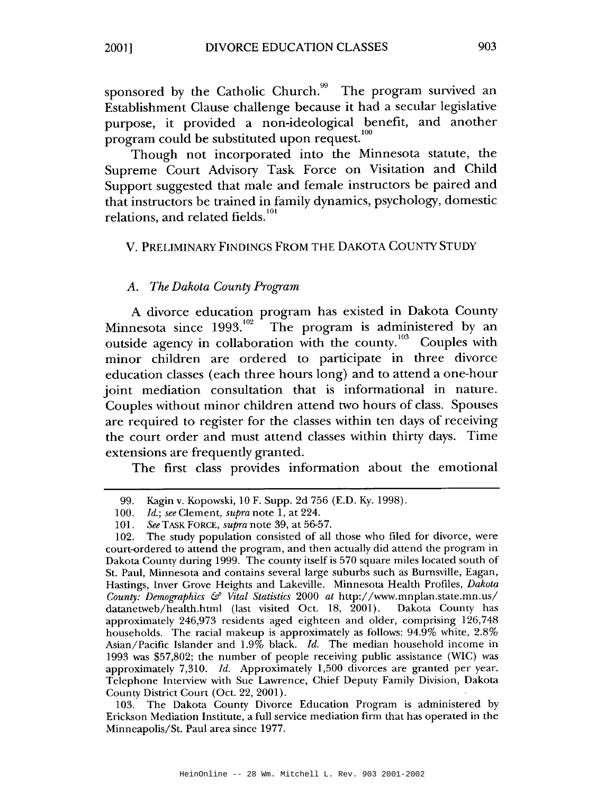sponsored by the Catholic Church.<sup>99</sup> The program survived an Establishment Clause challenge because it had a secular legislative purpose, it provided a non-ideological benefit, and another program could be substituted upon request.<sup>100</sup>

Though not incorporated into the Minnesota statute, the Supreme Court Advisory Task Force on Visitation and Child Support suggested that male and female instructors be paired and that instructors be trained in family dynamics, psychology, domestic relations, and related fields.<sup>101</sup>

#### V. PRELIMINARY FINDINGS FROM THE DAKOTA COUNTY STUDY

### A. The Dakota County Program

A divorce education program has existed in Dakota County<br>Minnesota since 1993.<sup>102</sup> The program is administered by an outside agency in collaboration with the county.<sup>103</sup> Couples with minor children are ordered to participate in three divorce education classes (each three hours long) and to attend a one-hour joint mediation consultation that is informational in nature. Couples without minor children attend two hours of class. Spouses are required to register for the classes within ten days of receiving the court order and must attend classes within thirty days. Time extensions are frequently granted.

The first class provides information about the emotional

103. The Dakota County Divorce Education Program is administered by Erickson Mediation Institute, a full service mediation firm that has operated in the Minneapolis/St. Paul area since 1977.

<sup>99.</sup> Kagin v. Kopowski, 10 F. Supp. 2d 756 (E.D. Ky. 1998).

<sup>100.</sup> *Id.*; see Clement, supra note 1, at 224.

See TASK FORCE, supra note 39, at 56-57.  $101.$ 

The study population consisted of all those who filed for divorce, were  $102.$ court-ordered to attend the program, and then actually did attend the program in Dakota County during 1999. The county itself is 570 square miles located south of St. Paul, Minnesota and contains several large suburbs such as Burnsville, Eagan, Hastings, Inver Grove Heights and Lakeville. Minnesota Health Profiles, Dakota County: Demographics & Vital Statistics 2000 at http://www.mnplan.state.mn.us/ datanetweb/health.html (last visited Oct. 18, 2001). Dakota County has approximately 246,973 residents aged eighteen and older, comprising 126,748 households. The racial makeup is approximately as follows: 94.9% white, 2.8% Asian/Pacific Islander and 1.9% black. Id. The median household income in 1993 was \$57,802; the number of people receiving public assistance (WIC) was approximately 7,310. Id. Approximately 1,500 divorces are granted per year. Telephone Interview with Sue Lawrence, Chief Deputy Family Division, Dakota County District Court (Oct. 22, 2001).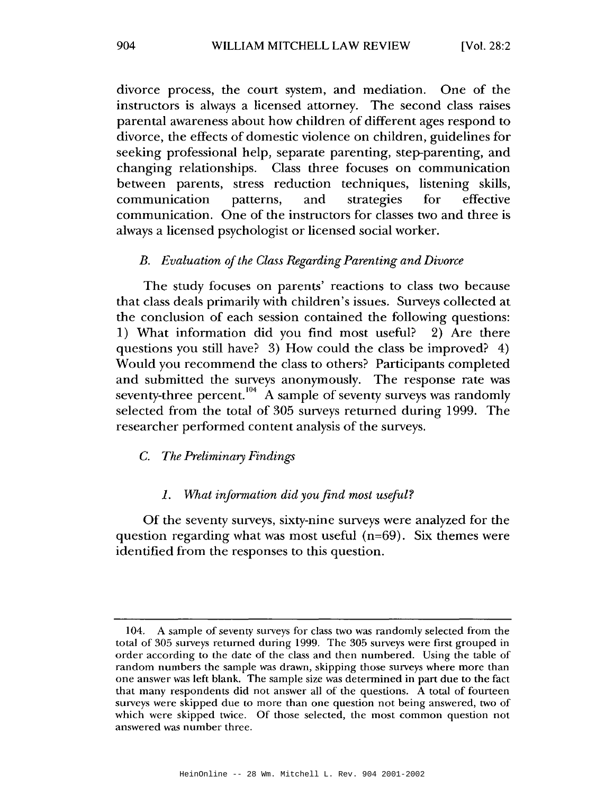divorce process, the court system, and mediation. One of the instructors is always a licensed attorney. The second class raises parental awareness about how children of different ages respond to divorce, the effects of domestic violence on children, guidelines for seeking professional help, separate parenting, step-parenting, and changing relationships. Class three focuses on communication between parents, stress reduction techniques, listening skills, communication patterns, and strategies for effective communication. One of the instructors for classes two and three is always a licensed psychologist or licensed social worker.

#### B. Evaluation of the Class Regarding Parenting and Divorce

The study focuses on parents' reactions to class two because that class deals primarily with children's issues. Surveys collected at the conclusion of each session contained the following questions: 1) What information did you find most useful? 2) Are there questions you still have? 3) How could the class be improved? 4) Would you recommend the class to others? Participants completed and submitted the surveys anonymously. The response rate was seventy-three percent.<sup>104</sup> A sample of seventy surveys was randomly selected from the total of 305 surveys returned during 1999. The researcher performed content analysis of the surveys.

#### $C_{\cdot}$ The Preliminary Findings

#### What information did you find most useful?  $\mathcal{I}$ .

Of the seventy surveys, sixty-nine surveys were analyzed for the question regarding what was most useful  $(n=69)$ . Six themes were identified from the responses to this question.

<sup>104.</sup> A sample of seventy surveys for class two was randomly selected from the total of 305 surveys returned during 1999. The 305 surveys were first grouped in order according to the date of the class and then numbered. Using the table of random numbers the sample was drawn, skipping those surveys where more than one answer was left blank. The sample size was determined in part due to the fact that many respondents did not answer all of the questions. A total of fourteen surveys were skipped due to more than one question not being answered, two of which were skipped twice. Of those selected, the most common question not answered was number three.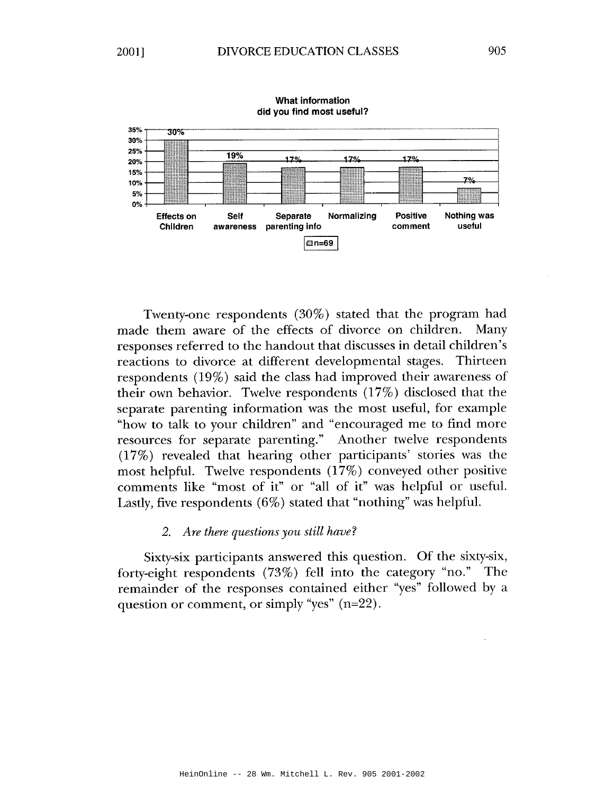

**What information** did you find most useful?

Twenty-one respondents (30%) stated that the program had made them aware of the effects of divorce on children. Many responses referred to the handout that discusses in detail children's reactions to divorce at different developmental stages. Thirteen respondents  $(19\%)$  said the class had improved their awareness of their own behavior. Twelve respondents (17%) disclosed that the separate parenting information was the most useful, for example "how to talk to your children" and "encouraged me to find more resources for separate parenting." Another twelve respondents (17%) revealed that hearing other participants' stories was the most helpful. Twelve respondents (17%) conveyed other positive comments like "most of it" or "all of it" was helpful or useful. Lastly, five respondents  $(6\%)$  stated that "nothing" was helpful.

#### 2. Are there questions you still have?

Sixty-six participants answered this question. Of the sixty-six, forty-eight respondents  $(73\%)$  fell into the category "no." The remainder of the responses contained either "yes" followed by a question or comment, or simply "yes"  $(n=22)$ .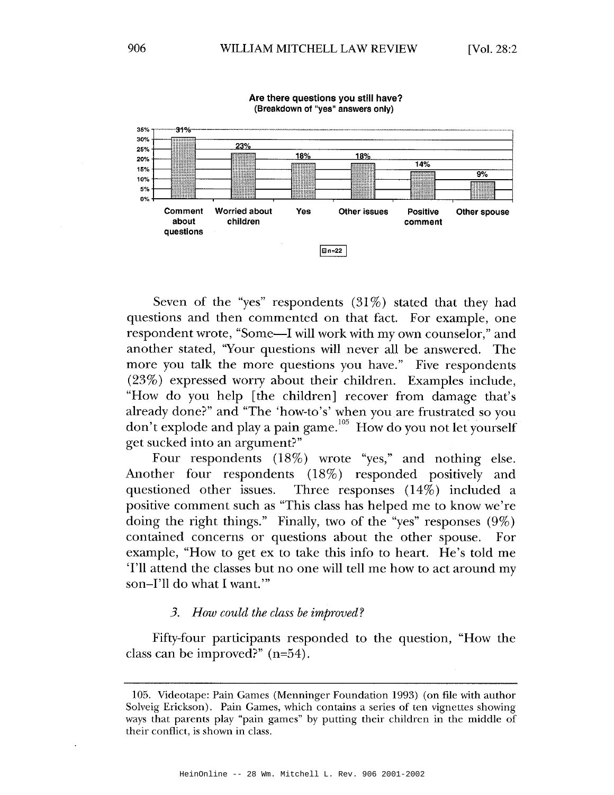

Are there questions you still have? (Breakdown of "ves" answers only)

Seven of the "yes" respondents  $(31\%)$  stated that they had questions and then commented on that fact. For example, one respondent wrote, "Some—I will work with my own counselor," and another stated, "Your questions will never all be answered. The more you talk the more questions you have." Five respondents  $(23%)$  expressed worry about their children. Examples include, "How do you help [the children] recover from damage that's already done?" and "The 'how-to's' when you are frustrated so you don't explode and play a pain game.  $^{105}$  How do you not let yourself get sucked into an argument?"

Four respondents (18%) wrote "yes," and nothing else. Another four respondents (18%) responded positively and questioned other issues. Three responses  $(14%)$  included a positive comment such as "This class has helped me to know we're doing the right things." Finally, two of the "yes" responses  $(9\%)$ contained concerns or questions about the other spouse. For example, "How to get ex to take this info to heart. He's told me 'I'll attend the classes but no one will tell me how to act around my son-I'll do what I want."

#### 3. How could the class be improved?

Fifty-four participants responded to the question, "How the class can be improved?"  $(n=54)$ .

<sup>105.</sup> Videotape: Pain Games (Menninger Foundation 1993) (on file with author Solveig Erickson). Pain Games, which contains a series of ten vignettes showing ways that parents play "pain games" by putting their children in the middle of their conflict, is shown in class.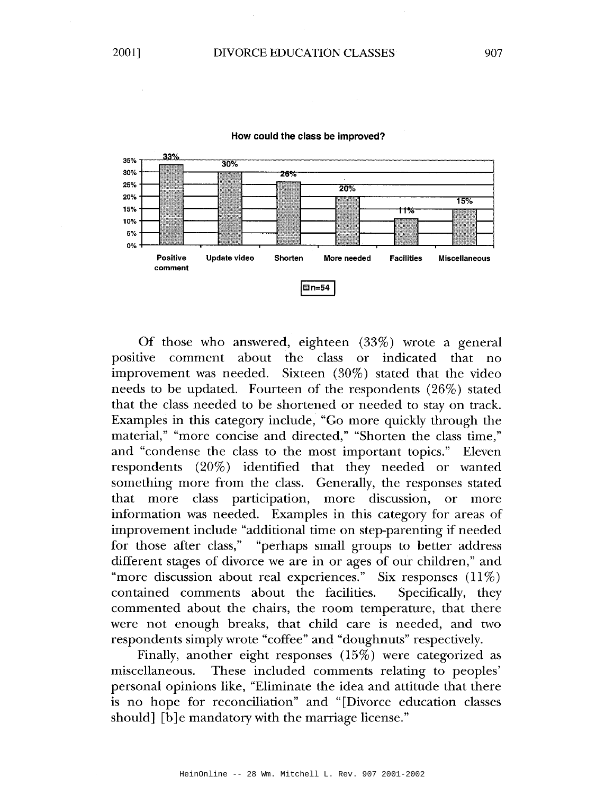

#### How could the class be improved?

Of those who answered, eighteen (33%) wrote a general positive comment about the class or indicated that no improvement was needed. Sixteen (30%) stated that the video needs to be updated. Fourteen of the respondents (26%) stated that the class needed to be shortened or needed to stay on track. Examples in this category include, "Go more quickly through the material," "more concise and directed," "Shorten the class time," and "condense the class to the most important topics." Eleven respondents (20%) identified that they needed or wanted something more from the class. Generally, the responses stated that more class participation, more discussion, or more information was needed. Examples in this category for areas of improvement include "additional time on step-parenting if needed for those after class," "perhaps small groups to better address different stages of divorce we are in or ages of our children," and "more discussion about real experiences." Six responses  $(11\%)$ contained comments about the facilities. Specifically, they commented about the chairs, the room temperature, that there were not enough breaks, that child care is needed, and two respondents simply wrote "coffee" and "doughnuts" respectively.

Finally, another eight responses (15%) were categorized as These included comments relating to peoples' miscellaneous. personal opinions like, "Eliminate the idea and attitude that there is no hope for reconciliation" and "[Divorce education classes should] [b]e mandatory with the marriage license."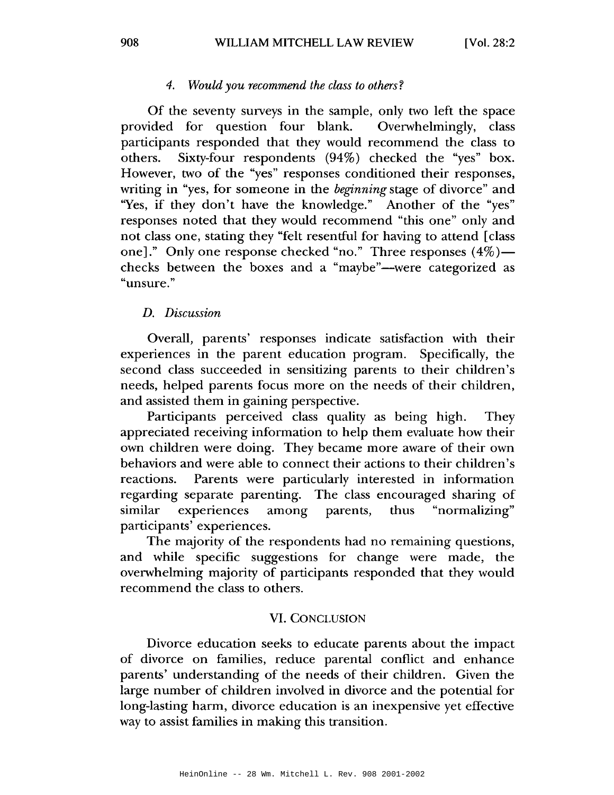#### $4.$ Would you recommend the class to others?

Of the seventy surveys in the sample, only two left the space provided for question four blank. Overwhelmingly, class participants responded that they would recommend the class to Sixty-four respondents  $(94%)$  checked the "yes" box. others. However, two of the "yes" responses conditioned their responses, writing in "yes, for someone in the *beginning* stage of divorce" and "Yes, if they don't have the knowledge." Another of the "yes" responses noted that they would recommend "this one" only and not class one, stating they "felt resentful for having to attend [class one]." Only one response checked "no." Three responses  $(4\%)$  checks between the boxes and a "maybe"—were categorized as "unsure."

#### D. Discussion

Overall, parents' responses indicate satisfaction with their experiences in the parent education program. Specifically, the second class succeeded in sensitizing parents to their children's needs, helped parents focus more on the needs of their children, and assisted them in gaining perspective.

Participants perceived class quality as being high. **They** appreciated receiving information to help them evaluate how their own children were doing. They became more aware of their own behaviors and were able to connect their actions to their children's Parents were particularly interested in information reactions. regarding separate parenting. The class encouraged sharing of similar experiences among parents, thus "normalizing" participants' experiences.

The majority of the respondents had no remaining questions, and while specific suggestions for change were made, the overwhelming majority of participants responded that they would recommend the class to others.

#### **VI. CONCLUSION**

Divorce education seeks to educate parents about the impact of divorce on families, reduce parental conflict and enhance parents' understanding of the needs of their children. Given the large number of children involved in divorce and the potential for long-lasting harm, divorce education is an inexpensive yet effective way to assist families in making this transition.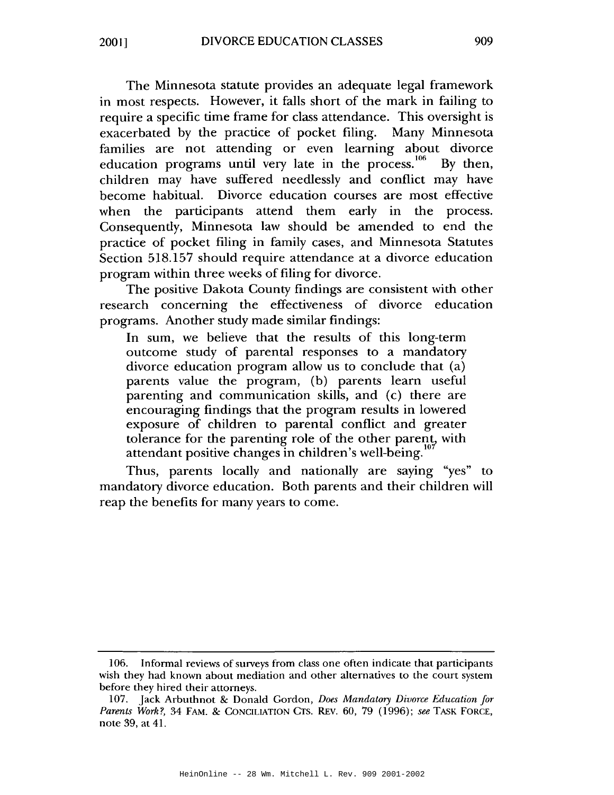The Minnesota statute provides an adequate legal framework in most respects. However, it falls short of the mark in failing to require a specific time frame for class attendance. This oversight is exacerbated by the practice of pocket filing. Many Minnesota families are not attending or even learning about divorce education programs until very late in the process.<sup>106</sup> By then, children may have suffered needlessly and conflict may have become habitual. Divorce education courses are most effective when the participants attend them early in the process. Consequently, Minnesota law should be amended to end the practice of pocket filing in family cases, and Minnesota Statutes Section 518.157 should require attendance at a divorce education program within three weeks of filing for divorce.

The positive Dakota County findings are consistent with other research concerning the effectiveness of divorce education programs. Another study made similar findings:

In sum, we believe that the results of this long-term outcome study of parental responses to a mandatory divorce education program allow us to conclude that (a) parents value the program, (b) parents learn useful parenting and communication skills, and (c) there are encouraging findings that the program results in lowered exposure of children to parental conflict and greater tolerance for the parenting role of the other parent, with attendant positive changes in children's well-being.

Thus, parents locally and nationally are saying "yes" to mandatory divorce education. Both parents and their children will reap the benefits for many years to come.

<sup>106.</sup> Informal reviews of surveys from class one often indicate that participants wish they had known about mediation and other alternatives to the court system before they hired their attorneys.

<sup>107.</sup> Jack Arbuthnot & Donald Gordon, Does Mandatory Divorce Education for Parents Work?, 34 FAM. & CONCILIATION CTS. REV. 60, 79 (1996); see TASK FORCE, note 39, at 41.